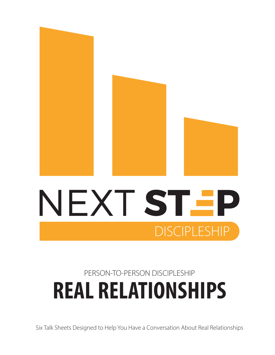

## **REAL RELATIONSHIPS** PERSON-TO-PERSON DISCIPLESHIP

**DISCIPLESHIP** 

Six Talk Sheets Designed to Help You Have a Conversation About Real Relationships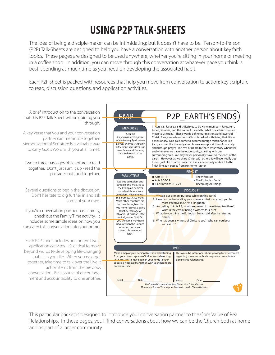## **USING P2P TALK-SHEETS**

The idea of being a disciple-maker can be intimidating; but it doesn't have to be. Person-to-Person (P2P) Talk-Sheets are designed to help you have a conversation with another person about key faith topics. These pages are designed to be used anywhere, whether you're sitting in your home or meeting in a coffee shop. In addition, you can move through this conversation at whatever pace you think is best, spending as much time as you need on developing the associated habit.

Each P2P sheet is packed with resources that help you move from conversation to action: key scripture to read, discussion questions, and application activities.



This particular packet is designed to introduce your conversation partner to the Core Value of Real Relationships. In these pages, you'll find conversations about how we can be the Church both at home and as part of a larger community.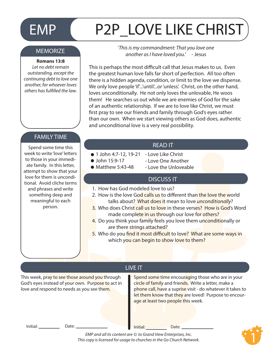## EMP P2P\_LOVE LIKE CHRIST

#### **MEMORIZE**

#### **Romans 13:8**

*Let no debt remain outstanding, except the continuing debt to love one another, for whoever loves others has fullled the law.*

'*This is my commandment: That you love one another as I have loved you.*' - Jesus

This is perhaps the most difficult call that Jesus makes to us. Even the greatest human love falls far short of perfection. All too often there is a hidden agenda, condition, or limit to the love we dispense. We only love people 'if'...'until'...or 'unless'. Christ, on the other hand, loves unconditionally. He not only loves the unlovable, He woos them! He searches us out while we are enemies of God for the sake of an authentic relationship. If we are to love like Christ, we must first pray to see our friends and family through God's eyes rather than our own. When we start viewing others as God does, authentic and unconditional love is a very real possibility.

#### FAMILY TIME

Spend some time this week to write 'love' letters to those in your immediate family. In this letter, attempt to show that your love for them is unconditional. Avoid cliche terms and phrases and write something deep and meaningful to each person.

#### READ IT

- 1 John 4:7-12, 19-21 Love Like Christ
- John 15:9-17
- $\bullet$  Matthew 5:43-48
- Love One Another - Love the Unloveable

#### **DISCUSS IT**

- 1. How has God modeled love to us?
- 2. How is the love God calls us to different than the love the world talks about? What does it mean to love *unconditionally*?
- 3. Who does Christ call us to love in these verses? How is God's Word made complete in us through our love for others?
- 4. Do you think your family feels you love them unconditionally or are there strings attached?
- 5. Who do you find it most difficult to love? What are some ways in which you can begin to show love to them?

This week, pray to see those around you through God's eyes instead of your own. Purpose to act in love and respond to needs as you see them.

#### LIVE IT

Spend some time encouraging those who are in your circle of family and friends. Write a letter, make a phone call, have a suprise visit - do whatever it takes to let them know that they are loved! Purpose to encourage at least two people this week.

Initial: Date: Date: Date: Date: Date: Date:

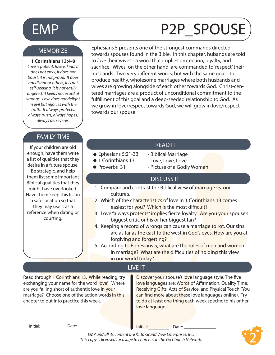## EMP (P2P\_SPOUSE

#### **MEMORIZE**

#### **1 Corinthians 13:4-8**

*Love is patient, love is kind. It does not envy, it does not boast, it is not proud. It does not dishonor others, it is not self-seeking, it is not easily angered, it keeps no record of wrongs. Love does not delight in evil but rejoices with the truth. It always protects, always trusts, always hopes, always perseveres.* 

#### FAMILY TIME

If your children are old enough, have them write a list of qualities that they desire in a future spouse. Be strategic, and help them list some important Biblical qualities that they might have overlooked. Have them keep this list in a safe location so that they may use it as a reference when dating or courting.

Ephesians 5 presents one of the strongest commands directed towards spouses found in the Bible. In this chapter, hubands are told to *love* their wives - a word that implies protection, loyalty, and sacrifice. Wives, on the other hand, are commanded to 'respect' their husbands. Two very different words, but with the same goal - to produce healthy, wholesome marriages where both husbands and wives are growing alongside of each other towards God. Christ-centered marriages are a product of unconditional commitment to the fulfillment of this goal and a deep-seeded relationship to God. As we grow in love/respect towards God, we will grow in love/respect towards our spouse.

#### READ IT

- Biblical Marriage

- Ephesians 5:21-33
- 1 Corinthians 13
- Proverbs 31
- Love, Love, Love - Picture of a Godly Woman

#### DISCUSS IT

- 1. Compare and contrast the Biblical view of marriage vs. our culture's.
- 2. Which of the characteristics of love in 1 Corinthians 13 comes easiest for you? Which is the most difficult?
- 3. Love "always protects" implies fierce loyalty. Are you your spouse's biggest critic or his or her biggest fan?
- 4. Keeping a record of wrongs can cause a marriage to rot. Our sins are as far as the east to the west in God's eyes. How are you at forgiving and forgetting?
- 5. According to Ephesians 5, what are the roles of men and women in marriage? What are the difficulties of holding this view in our world today?

#### LIVE IT

Read through 1 Corinthians 13. While reading, try exchanging your name for the word 'love'. Where are you falling short of authentic love in your marriage? Choose one of the action words in this chapter to put into practice this week.

Discover your spouse's love language style. The five love languages are: Words of Affirmation, Quality Time, Receiving Gifts, Acts of Service, and Physical Touch (You can find more about these love languages online). Try to do at least one thing each week specific to his or her love language .

Initial: Date: Date: Date: Date: Date: Date:

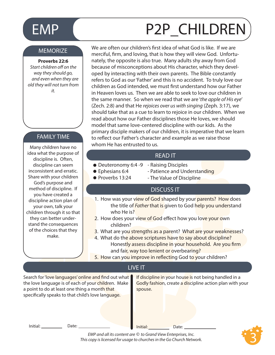#### **MEMORIZE**

#### **Proverbs 22:6**

**Start children off on the** *way they should go, and even when they are old they will not turn from it.*

#### FAMILY TIME

Many children have no idea what the purpose of discipline is. Often, discipline can seem inconsistent and erratic. Share with your children God's purpose and method of discipline. If you have created a discipline action plan of your own, talk your children through it so that they can better understand the consequences of the choices that they make.

# EMP (P2P\_CHILDREN

We are often our children's first idea of what God is like. If we are merciful, firm, and loving, that is how they will view God. Unfortunately, the opposite is also true. Many adults shy away from God because of misconceptions about His character, which they developed by interacting with their own parents. The Bible constantly refers to God as our 'Father' and this is no accident. To truly love our children as God intended, we must first understand how our Father in Heaven loves us. Then we are able to seek to love our children in the same manner. So when we read that we are '*the apple of His eye*' (Zech. 2:8) and that He *rejoices over us with singing* (Zeph. 3:17), we should take that as a cue to learn to rejoice in our children. When we read about how our Father disciplines those He loves, we should model that same love-centered discipline with our kids. As the primary disciple makers of our children, it is imperative that we learn to reflect our Father's character and example as we raise those whom He has entrusted to us.

#### READ IT

- Deuteronomy 6:4 -9 Raising Disciples
- Ephesians 6:4
- Patience and Understanding
- Proverbs 13:24
- 
- The Value of Discipline

#### DISCUSS IT

- 1. How was your view of God shaped by your parents? How does the title of *Father* that is given to God help you understand who He is?
- 2. How does your view of God effect how you love your own children?
- 3. What are you strengths as a parent? What are your weaknesses?
- 4. What do the above scriptures have to say about discipline? Honestly assess discipline in your household. Are you firm and fair, way too lenient or overbearing?
- 5. How can you improve in reflecting God to your children?

#### LIVE IT

Search for 'love languages' online and find out what the love language is of each of your children. Make a point to do at least one thing a month that specifically speaks to that child's love language.

If discipline in your house is not being handled in a Godly fashion, create a discipline action plan with your spouse.

Initial: Date: Date: Date: Date: Date: Date: Date:

3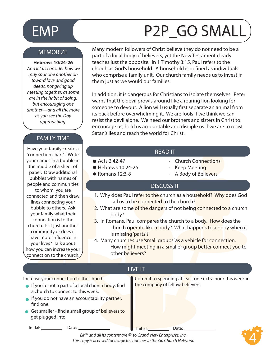#### **MEMORIZE**

#### **Hebrews 10:24-26**

 *And let us consider how we may spur one another on toward love and good deeds, not giving up meeting together, as some are in the habit of doing, but encouraging one another—and all the more as you see the Day approaching.* 

#### FAMILY TIME

Have your family create a 'connection chart'. Write your names in a bubble in the middle of a sheet of paper. Draw additional bubbles with names of people and communities to whom you are connected and then draw lines connecting your bubble to others. Ask your family what their connection is to the church. Is it just another community or does it have more influence in your lives? Talk about how you can increase your connection to the church.

# EMP (P2P\_GO SMALL

Many modern followers of Christ believe they do not need to be a part of a local body of believers, yet the New Testament clearly teaches just the opposite. In 1 Timothy 3:15, Paul refers to the church as God's household. A household is defined as individuals who comprise a family unit. Our church family needs us to invest in them just as we would our families.

In addition, it is dangerous for Christians to isolate themselves. Peter warns that the devil prowls around like a roaring lion looking for someone to devour. A lion will usually first separate an animal from its pack before overwhelming it. We are fools if we think we can resist the devil alone. We need our brothers and sisters in Christ to encourage us, hold us accountable and disciple us if we are to resist Satan's lies and reach the world for Christ.

#### READ IT

- Acts 2:42-47
- $\bullet$  Hebrews 10:24-26

 $\bullet$  Romans 12:3-8

- Keep Meeting
	- A Body of Believers

- Church Connections

#### DISCUSS IT

- 1. Why does Paul refer to the church as a household? Why does God call us to be connected to the church?
- 2. What are some of the dangers of not being connected to a church body?
- 3. In Romans, Paul compares the church to a body. How does the church operate like a body? What happens to a body when it is missing 'parts'?
- 4. Many churches use 'small groups' as a vehicle for connection. How might meeting in a smaller group better connect you to other believers?

#### LIVE IT

Increase your connection to the church: Commit to spending at least one extra hour this week in

- If you're not a part of a local church body, find  $\blacksquare$  the company of fellow believers. a church to connect to this week.
- If you do not have an accountability partner, find one.
- Get smaller find a small group of believers to get plugged into.

Initial: Date: Date: Date: Date: Date: Date:

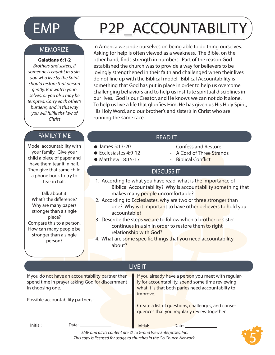# EMP P2P ACCOUNTABILITY

#### **MEMORIZE**

#### **Galatians 6:1-2**

*Brothers and sisters, if someone is caught in a sin, you who live by the Spirit should restore that person gently. But watch yourselves, or you also may be tempted. Carry each other's burdens, and in this way you will fulll the law of Christ*

### FAMILY TIME THE SAME STATE AND THE READ IT

Model accountability with your family. Give your child a piece of paper and have them tear it in half. Then give that same child a phone book to try to tear in half.

Talk about it: What's the difference? Why are many papers stronger than a single piece? Compare this to a person. How can many people be stronger than a single person?

In America we pride ourselves on being able to do thing ourselves. Asking for help is often viewed as a weakness. The Bible, on the other hand, finds strength in numbers. Part of the reason God established the church was to provide a way for believers to be lovingly strengthened in their faith and challenged when their lives do not line up with the Biblical model. Biblical Accountability is something that God has put in place in order to help us overcome challenging behaviors and to help us institute spiritual disciplines in our lives. God is our Creator, and He knows we can not do it alone. To help us live a life that glorifies Him, He has given us His Holy Spirit, His Holy Word, and our brother's and sister's in Christ who are running the same race.

- James 5:13-20
- Ecclesiastes 4:9-12
- $\bullet$  Matthew 18:15-17
- - Confess and Restore
	- A Cord of Three Strands
	- Biblical Conflict

#### DISCUSS IT

- 1. According to what you have read, what is the importance of Biblical Accountability? Why is accountability something that makes many people uncomfortable?
- 2. According to Ecclesiastes, why are two or three stronger than one? Why is it important to have other believers to hold you accountable?
- 3. Describe the steps we are to follow when a brother or sister continues in a sin in order to restore them to right relationship with God?
- 4. What are some specific things that you need accountability about?

| <b>LIVE IT</b>                                                                                                           |                                                                                                                                                                          |
|--------------------------------------------------------------------------------------------------------------------------|--------------------------------------------------------------------------------------------------------------------------------------------------------------------------|
| If you do not have an accountability partner then<br>spend time in prayer asking God for discernment<br>in choosing one. | If you already have a person you meet with regular-<br>ly for accountability, spend some time reviewing<br>what it is that both paries need accountablity to<br>improve. |
| Possible accountability partners:                                                                                        | Create a list of questions, challenges, and conse-<br>quences that you regularly review together.                                                                        |
| Initial:<br>Date:                                                                                                        | Initial:<br>Date:<br>EMP and all its content are © to Grand View Enterprises, Inc.                                                                                       |
| This copy is licensed for usage to churches in the Go Church Network.                                                    |                                                                                                                                                                          |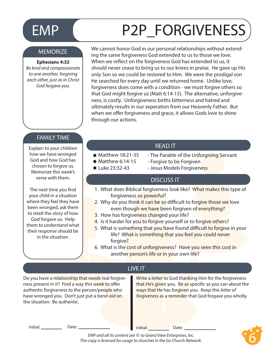## EMP P2P\_FORGIVENESS

#### **MEMORIZE**

#### **Ephesians 4:32**

*Be kind and compassionate to one another, forgiving each other, just as in Christ God forgave you.*

We cannot honor God in our personal relationships without extending the same forgiveness God extended to us to those we love. When we reflect on the forgiveness God has extended to us, it should never cease to bring us to our knees in praise. He gave up His only Son so we could be restored to Him. We were the prodigal son He searched for every day until we returned home. Unlike love, forgiveness does come with a condition - we must forgive others so that God might forgive us (Matt 6:14-15). The alternative, unforgiveness, is costly. Unforgiveness births bitterness and hatred and ultimately results in our seperation from our Heavenly Father. But when we offer forgiveness and grace, it allows Gods love to shine through our actions.

#### FAMILY TIME

Explain to your children how we have wronged God and how God has chosen to forgive us. Memorize this week's verse with them.

The next time you find your child in a situation where they feel they have been wronged, ask them to retell the story of how God forgave us. Help them to understand what their response should be in the situation.

#### READ IT

- $\bullet$  Matthew 18:21-35
- Forgive to be Forgiven  $\bullet$  Matthew 6:14-15
- Luke 23:32-43
- Jesus Models Forgiveness

- The Parable of the Unforgiving Servant

#### DISCUSS IT

- 1. What does Biblical forgiveness look like? What makes this type of forgiveness so powerful?
- 2. Why do you think it can be so difficult to forgive those we love even though we have been forgiven of everything?
- 3. How has forgiveness changed your life?
- 4. Is it harder for you to forgive yourself or to forgive others?
- 5. What is something that you have found difficult to forgive in your life? What is something that you feel you could never forgive?
- 6. What is the cost of unforgiveness? Have you seen this cost in another person's life or in your own life?

#### LIVE IT

Do you have a relationship that needs real forgiveness present in it? Find a way this week to offer authentic forgiveness to the person/people who have wronged you. Don't just put a *band-aid* on the situation. Be authentic.

Write a letter to God thanking Him for the forgiveness that He's given you. Be as specific as you can about the ways that He has forgiven you. Keep this *letter of forgiveness* as a reminder that God forgave you wholly.

Initial: Date: Date: Date: Date: Date: Date: Date: